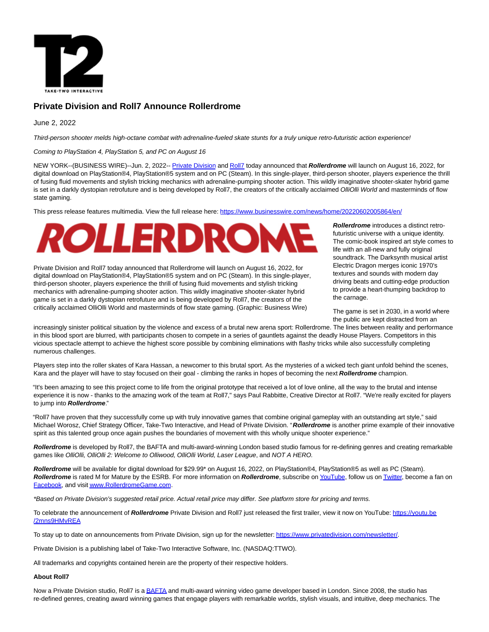

# **Private Division and Roll7 Announce Rollerdrome**

# June 2, 2022

Third-person shooter melds high-octane combat with adrenaline-fueled skate stunts for a truly unique retro-futuristic action experience!

Coming to PlayStation 4, PlayStation 5, and PC on August 16

NEW YORK--(BUSINESS WIRE)--Jun. 2, 2022-- [Private Division a](https://cts.businesswire.com/ct/CT?id=smartlink&url=https%3A%2F%2Fwww.privatedivision.com%2F&esheet=52738233&newsitemid=20220602005864&lan=en-US&anchor=Private+Division&index=1&md5=eb6655e82c4ccd3a55bb9a3fe119b27f)nd [Roll7 t](https://cts.businesswire.com/ct/CT?id=smartlink&url=https%3A%2F%2Fwww.roll7.co.uk%2F&esheet=52738233&newsitemid=20220602005864&lan=en-US&anchor=Roll7&index=2&md5=c50abf2a9f6909bfdabf100f70b86d6b)oday announced that **Rollerdrome** will launch on August 16, 2022, for digital download on PlayStation®4, PlayStation®5 system and on PC (Steam). In this single-player, third-person shooter, players experience the thrill of fusing fluid movements and stylish tricking mechanics with adrenaline-pumping shooter action. This wildly imaginative shooter-skater hybrid game is set in a darkly dystopian retrofuture and is being developed by Roll7, the creators of the critically acclaimed OlliOlli World and masterminds of flow state gaming.

This press release features multimedia. View the full release here:<https://www.businesswire.com/news/home/20220602005864/en/>

# *ROLLERDRON*

Private Division and Roll7 today announced that Rollerdrome will launch on August 16, 2022, for digital download on PlayStation®4, PlayStation®5 system and on PC (Steam). In this single-player, third-person shooter, players experience the thrill of fusing fluid movements and stylish tricking mechanics with adrenaline-pumping shooter action. This wildly imaginative shooter-skater hybrid game is set in a darkly dystopian retrofuture and is being developed by Roll7, the creators of the critically acclaimed OlliOlli World and masterminds of flow state gaming. (Graphic: Business Wire)

**Rollerdrome** introduces a distinct retrofuturistic universe with a unique identity. The comic-book inspired art style comes to life with an all-new and fully original soundtrack. The Darksynth musical artist Electric Dragon merges iconic 1970's textures and sounds with modern day driving beats and cutting-edge production to provide a heart-thumping backdrop to the carnage.

The game is set in 2030, in a world where the public are kept distracted from an

increasingly sinister political situation by the violence and excess of a brutal new arena sport: Rollerdrome. The lines between reality and performance in this blood sport are blurred, with participants chosen to compete in a series of gauntlets against the deadly House Players. Competitors in this vicious spectacle attempt to achieve the highest score possible by combining eliminations with flashy tricks while also successfully completing numerous challenges.

Players step into the roller skates of Kara Hassan, a newcomer to this brutal sport. As the mysteries of a wicked tech giant unfold behind the scenes, Kara and the player will have to stay focused on their goal - climbing the ranks in hopes of becoming the next **Rollerdrome** champion.

"It's been amazing to see this project come to life from the original prototype that received a lot of love online, all the way to the brutal and intense experience it is now - thanks to the amazing work of the team at Roll7," says Paul Rabbitte, Creative Director at Roll7. "We're really excited for players to jump into **Rollerdrome**."

"Roll7 have proven that they successfully come up with truly innovative games that combine original gameplay with an outstanding art style," said Michael Worosz, Chief Strategy Officer, Take-Two Interactive, and Head of Private Division. "**Rollerdrome** is another prime example of their innovative spirit as this talented group once again pushes the boundaries of movement with this wholly unique shooter experience."

**Rollerdrome** is developed by Roll7, the BAFTA and multi-award-winning London based studio famous for re-defining genres and creating remarkable games like OlliOlli, OlliOlli 2: Welcome to Olliwood, OlliOlli World, Laser League, and NOT A HERO.

**Rollerdrome** will be available for digital download for \$29.99\* on August 16, 2022, on PlayStation®4, PlayStation®5 as well as PC (Steam). **Rollerdrome** is rated M for Mature by the ESRB. For more information on **Rollerdrome**, subscribe on [YouTube,](https://cts.businesswire.com/ct/CT?id=smartlink&url=https%3A%2F%2Fwww.youtube.com%2Fchannel%2FUCgcSwHteqZ37OJ-sjWAXu7w&esheet=52738233&newsitemid=20220602005864&lan=en-US&anchor=YouTube&index=3&md5=cd5fad2ec0d44d7f2d113a5db10d5810) follow us o[n Twitter,](https://cts.businesswire.com/ct/CT?id=smartlink&url=https%3A%2F%2Ftwitter.com%2Frollerdrome&esheet=52738233&newsitemid=20220602005864&lan=en-US&anchor=Twitter&index=4&md5=37f174c649242364525e4f6a00167d66) become a fan on [Facebook,](https://cts.businesswire.com/ct/CT?id=smartlink&url=https%3A%2F%2Fwww.facebook.com%2FRollerdromeGame&esheet=52738233&newsitemid=20220602005864&lan=en-US&anchor=Facebook&index=5&md5=806d9e27c8e0c1e1ab1f81fdf55346d8) and visi[t www.RollerdromeGame.com.](https://cts.businesswire.com/ct/CT?id=smartlink&url=http%3A%2F%2Fwww.rollerdromegame.com&esheet=52738233&newsitemid=20220602005864&lan=en-US&anchor=www.RollerdromeGame.com&index=6&md5=25dffa54e95e3c2ca5a20db6ed838184)

\*Based on Private Division's suggested retail price. Actual retail price may differ. See platform store for pricing and terms.

To celebrate the announcement of Rollerdrome Private Division and Roll7 just released the first trailer, view it now on YouTube: [https://youtu.be](https://cts.businesswire.com/ct/CT?id=smartlink&url=https%3A%2F%2Fyoutu.be%2F2mns9HMvREA&esheet=52738233&newsitemid=20220602005864&lan=en-US&anchor=https%3A%2F%2Fyoutu.be%2F2mns9HMvREA&index=7&md5=0ed81548813a84330b7b563ca5f95560) /2mns9HMvREA

To stay up to date on announcements from Private Division, sign up for the newsletter: [https://www.privatedivision.com/newsletter/.](https://cts.businesswire.com/ct/CT?id=smartlink&url=https%3A%2F%2Fwww.privatedivision.com%2Fnewsletter%2F&esheet=52738233&newsitemid=20220602005864&lan=en-US&anchor=https%3A%2F%2Fwww.privatedivision.com%2Fnewsletter%2F&index=8&md5=418f0ef0fdb0d1823bb8fd64748ac51c)

Private Division is a publishing label of Take-Two Interactive Software, Inc. (NASDAQ:TTWO).

All trademarks and copyrights contained herein are the property of their respective holders.

#### **About Roll7**

Now a Private Division studio, Roll7 is [a BAFTA a](https://cts.businesswire.com/ct/CT?id=smartlink&url=https%3A%2F%2Furldefense.proofpoint.com%2Fv2%2Furl%3Fu%3Dhttps-3A__www.roll7.co.uk_single-2Dpost_2015_03_16_OlliOlli-2Dwins-2DBest-2DSports-2DGame-2Dat-2Dthe-2DBAFTA-2DGames-2DAwards%26d%3DDwMFaQ%26c%3DRKDswobrOGdp5vDCbl5XjxW8HqrsRSr80dGTvu3rE9Q%26r%3DeJlhp23XwcHMt2IduQSwu6_3zqOm0cQv4oxWxwPcpbwg7836nLWYtoC5uLnY0HPC%26m%3DyzvDSXUx3E7RuRAnHNL3DoD7DN09TMWOMV2aKEKl5kk%26s%3DiW4HVg3z_BIA5Y18DnWk6QCgH-cjx_nCKC55UWIsjag%26e%3D&esheet=52738233&newsitemid=20220602005864&lan=en-US&anchor=BAFTA&index=9&md5=38fb4dc0317b1977554b7993d2cf62b0)nd multi-award winning video game developer based in London. Since 2008, the studio has re-defined genres, creating award winning games that engage players with remarkable worlds, stylish visuals, and intuitive, deep mechanics. The